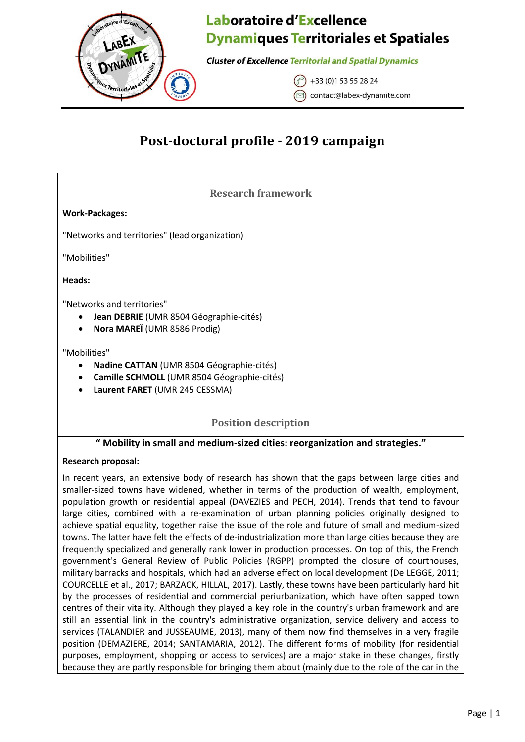

**Cluster of Excellence Territorial and Spatial Dynamics** 

+33 (0) 1 53 55 28 24 contact@labex-dynamite.com

# **Post-doctoral profile - 2019 campaign**

# **Research framework**

### **Work-Packages:**

"Networks and territories" (lead organization)

"Mobilities"

#### **Heads:**

"Networks and territories"

- **Jean DEBRIE** (UMR 8504 Géographie-cités)
- **Nora MAREÏ** (UMR 8586 Prodig)

### "Mobilities"

- **Nadine CATTAN** (UMR 8504 Géographie-cités)
- **Camille SCHMOLL** (UMR 8504 Géographie-cités)
- **Laurent FARET** (UMR 245 CESSMA)

### **Position description**

### **" Mobility in small and medium-sized cities: reorganization and strategies."**

### **Research proposal:**

In recent years, an extensive body of research has shown that the gaps between large cities and smaller-sized towns have widened, whether in terms of the production of wealth, employment, population growth or residential appeal (DAVEZIES and PECH, 2014). Trends that tend to favour large cities, combined with a re-examination of urban planning policies originally designed to achieve spatial equality, together raise the issue of the role and future of small and medium-sized towns. The latter have felt the effects of de-industrialization more than large cities because they are frequently specialized and generally rank lower in production processes. On top of this, the French government's General Review of Public Policies (RGPP) prompted the closure of courthouses, military barracks and hospitals, which had an adverse effect on local development (De LEGGE, 2011; COURCELLE et al., 2017; BARZACK, HILLAL, 2017). Lastly, these towns have been particularly hard hit by the processes of residential and commercial periurbanization, which have often sapped town centres of their vitality. Although they played a key role in the country's urban framework and are still an essential link in the country's administrative organization, service delivery and access to services (TALANDIER and JUSSEAUME, 2013), many of them now find themselves in a very fragile position (DEMAZIERE, 2014; SANTAMARIA, 2012). The different forms of mobility (for residential purposes, employment, shopping or access to services) are a major stake in these changes, firstly because they are partly responsible for bringing them about (mainly due to the role of the car in the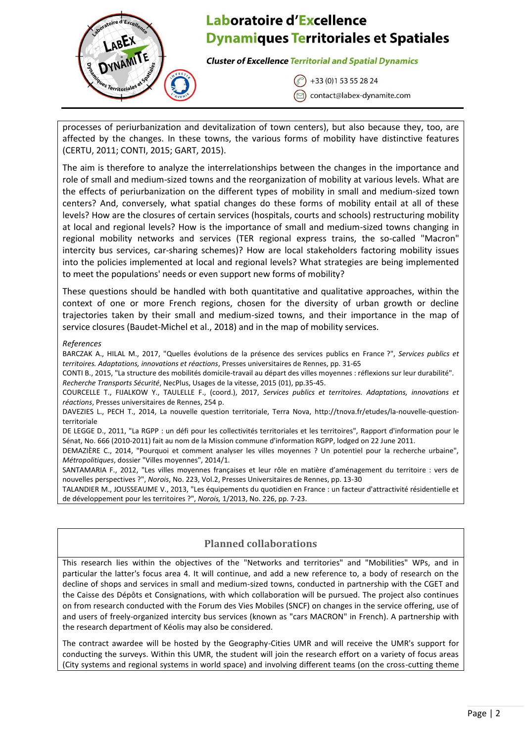

**Cluster of Excellence Territorial and Spatial Dynamics** 

+33 (0) 1 53 55 28 24 contact@labex-dynamite.com

processes of periurbanization and devitalization of town centers), but also because they, too, are affected by the changes. In these towns, the various forms of mobility have distinctive features (CERTU, 2011; CONTI, 2015; GART, 2015).

The aim is therefore to analyze the interrelationships between the changes in the importance and role of small and medium-sized towns and the reorganization of mobility at various levels. What are the effects of periurbanization on the different types of mobility in small and medium-sized town centers? And, conversely, what spatial changes do these forms of mobility entail at all of these levels? How are the closures of certain services (hospitals, courts and schools) restructuring mobility at local and regional levels? How is the importance of small and medium-sized towns changing in regional mobility networks and services (TER regional express trains, the so-called "Macron" intercity bus services, car-sharing schemes)? How are local stakeholders factoring mobility issues into the policies implemented at local and regional levels? What strategies are being implemented to meet the populations' needs or even support new forms of mobility?

These questions should be handled with both quantitative and qualitative approaches, within the context of one or more French regions, chosen for the diversity of urban growth or decline trajectories taken by their small and medium-sized towns, and their importance in the map of service closures (Baudet-Michel et al., 2018) and in the map of mobility services.

#### *References*

BARCZAK A., HILAL M., 2017, "Quelles évolutions de la présence des services publics en France ?", *Services publics et territoires. Adaptations, innovations et réactions*, Presses universitaires de Rennes, pp. 31-65

CONTI B., 2015, "La structure des mobilités domicile-travail au départ des villes moyennes : réflexions sur leur durabilité". *Recherche Transports Sécurité*, NecPlus, Usages de la vitesse, 2015 (01), pp.35-45.

COURCELLE T., FIJALKOW Y., TAULELLE F., (coord.), 2017, *Services publics et territoires. Adaptations, innovations et réactions*, Presses universitaires de Rennes, 254 p.

DAVEZIES L., PECH T., 2014, La nouvelle question territoriale, Terra Nova, [http://tnova.fr/etudes/la-nouvelle-question](http://tnova.fr/etudes/la-nouvelle-question-territoriale)[territoriale](http://tnova.fr/etudes/la-nouvelle-question-territoriale)

DE LEGGE D., 2011, "La RGPP : un défi pour les collectivités territoriales et les territoires", Rapport d'information pour le Sénat, No. 666 (2010-2011) fait au nom de la Mission commune d'information RGPP, lodged on 22 June 2011.

DEMAZIÈRE C., 2014, "Pourquoi et comment analyser les villes moyennes ? Un potentiel pour la recherche urbaine", *Métropolitiques*, dossier "Villes moyennes", 2014/1.

SANTAMARIA F., 2012, "Les villes moyennes françaises et leur rôle en matière d'aménagement du territoire : vers de nouvelles perspectives ?", *Norois*, No. 223, Vol.2, Presses Universitaires de Rennes, pp. 13-30

TALANDIER M., JOUSSEAUME V., 2013, "Les équipements du quotidien en France : un facteur d'attractivité résidentielle et de développement pour les territoires ?", *Norois,* 1/2013, No. 226, pp. 7-23.

### **Planned collaborations**

This research lies within the objectives of the "Networks and territories" and "Mobilities" WPs, and in particular the latter's focus area 4. It will continue, and add a new reference to, a body of research on the decline of shops and services in small and medium-sized towns, conducted in partnership with the CGET and the Caisse des Dépôts et Consignations, with which collaboration will be pursued. The project also continues on from research conducted with the Forum des Vies Mobiles (SNCF) on changes in the service offering, use of and users of freely-organized intercity bus services (known as "cars MACRON" in French). A partnership with the research department of Kéolis may also be considered.

The contract awardee will be hosted by the Geography-Cities UMR and will receive the UMR's support for conducting the surveys. Within this UMR, the student will join the research effort on a variety of focus areas (City systems and regional systems in world space) and involving different teams (on the cross-cutting theme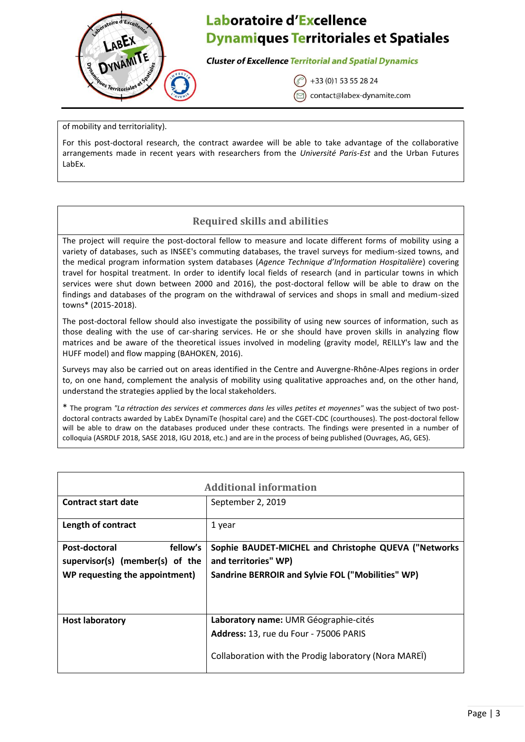

**Cluster of Excellence Territorial and Spatial Dynamics** 

+33 (0) 1 53 55 28 24

contact@labex-dynamite.com

of mobility and territoriality).

For this post-doctoral research, the contract awardee will be able to take advantage of the collaborative arrangements made in recent years with researchers from the *Université Paris-Est* and the Urban Futures LabEx.

# **Required skills and abilities**

The project will require the post-doctoral fellow to measure and locate different forms of mobility using a variety of databases, such as INSEE's commuting databases, the travel surveys for medium-sized towns, and the medical program information system databases (*Agence Technique d'Information Hospitalière*) covering travel for hospital treatment. In order to identify local fields of research (and in particular towns in which services were shut down between 2000 and 2016), the post-doctoral fellow will be able to draw on the findings and databases of the program on the withdrawal of services and shops in small and medium-sized towns\* (2015-2018).

The post-doctoral fellow should also investigate the possibility of using new sources of information, such as those dealing with the use of car-sharing services. He or she should have proven skills in analyzing flow matrices and be aware of the theoretical issues involved in modeling (gravity model, REILLY's law and the HUFF model) and flow mapping (BAHOKEN, 2016).

Surveys may also be carried out on areas identified in the Centre and Auvergne-Rhône-Alpes regions in order to, on one hand, complement the analysis of mobility using qualitative approaches and, on the other hand, understand the strategies applied by the local stakeholders.

\* The program *"La rétraction des services et commerces dans les villes petites et moyennes"* was the subject of two postdoctoral contracts awarded by LabEx DynamiTe (hospital care) and the CGET-CDC (courthouses). The post-doctoral fellow will be able to draw on the databases produced under these contracts. The findings were presented in a number of colloquia (ASRDLF 2018, SASE 2018, IGU 2018, etc.) and are in the process of being published (Ouvrages, AG, GES).

| <b>Additional information</b>   |                                                       |
|---------------------------------|-------------------------------------------------------|
| <b>Contract start date</b>      | September 2, 2019                                     |
| Length of contract              | 1 year                                                |
| fellow's<br>Post-doctoral       | Sophie BAUDET-MICHEL and Christophe QUEVA ("Networks  |
| supervisor(s) (member(s) of the | and territories" WP)                                  |
| WP requesting the appointment)  | Sandrine BERROIR and Sylvie FOL ("Mobilities" WP)     |
|                                 |                                                       |
| <b>Host laboratory</b>          | Laboratory name: UMR Géographie-cités                 |
|                                 | Address: 13, rue du Four - 75006 PARIS                |
|                                 | Collaboration with the Prodig laboratory (Nora MAREI) |